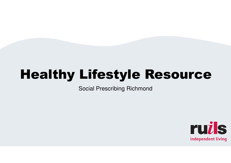# Healthy Lifestyle Resource

Social Prescribing Richmond

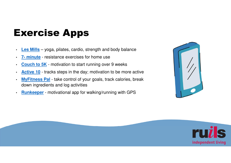# Exercise Apps

- •**Les Mills** – yoga, pilates, cardio, strength and body balance
- •**7- minute** - resistance exercises for home use
- •**Couch to 5K** - motivation to start running over 9 weeks
- •**Active 10** - tracks steps in the day; motivation to be more active
- • **MyFitness Pal** - take control of your goals, track calories, break down ingredients and log activities
- •**Runkeeper** - motivational app for walking/running with GPS



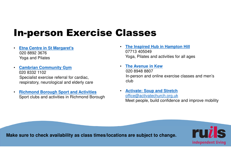## In-person Exercise Classes

- • **Etna Centre in St Margaret's**020 8892 3676 Yoga and Pilates
- • **Cambrian Community Gym**020 8332 1102 Specialist exercise referral for cardiac, respiratory, neurological and elderly care
- • **Richmond Borough Sport and Activities**Sport clubs and activities in Richmond Borough
- • **The Inspired Hub in Hampton Hill** 07713 405049 Yoga, Pilates and activities for all ages
- • **The Avenue in Kew**  020 8948 8807 In-person and online exercise classes and men's club
- **Activate: Soup and Stretch** office@activatechurch.org.ukMeet people, build confidence and improve mobility

**Make sure to check availability as class times/locations are subject to change.**

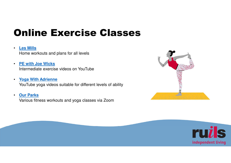# Online Exercise Classes

#### •**Les Mills**

Home workouts and plans for all levels

- • **PE with Joe Wicks**Intermediate exercise videos on YouTube
- • **Yoga With Adrienne**YouTube yoga videos suitable for different levels of ability
- • **Our Parks**Various fitness workouts and yoga classes via Zoom



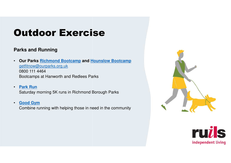## **Parks and Running**

- • **Our Parks Richmond Bootcamp and Hounslow Bootcamp** getfitnow@ourparks.org.uk0800 111 4464 Bootcamps at Hanworth and Redlees Parks
- • **Park Run**Saturday morning 5K runs in Richmond Borough Parks
- • **Good Gym**Combine running with helping those in need in the community



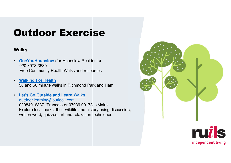### **Walks**

- •**OneYouHounslow** (for Hounslow Residents) 020 8973 3530 Free Community Health Walks and resources
- • **Walking For Health**30 and 60 minute walks in Richmond Park and Ham
- • **Let's Go Outside and Learn Walks**outdoor.learning@outlook.com 02084016837 (Frances) or 07939 001731 (Mairi) Explore local parks, their wildlife and history using discussion, written word, quizzes, art and relaxation techniques

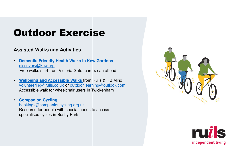### **Assisted Walks and Activities**

- • **Dementia Friendly Health Walks in Kew Gardens**discovery@kew.orgFree walks start from Victoria Gate; carers can attend
- • **Wellbeing and Accessible Walks** from Ruils & RB Mind volunteering@ruils.co.uk or outdoor.learning@outlook.comAccessible walk for wheelchair users in Twickenham
- • **Companion Cycling** bookings@companioncycling.org.uk Resource for people with special needs to access specialised cycles in Bushy Park



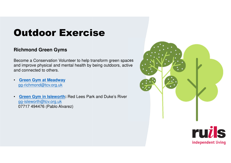## **Richmond Green Gyms**

Become a Conservation Volunteer to help transform green spaces and improve physical and mental health by being outdoors, active and connected to others.

- • **Green Gym at Meadway**gg-richmond@tcv.org.uk
- • **Green Gym in Isleworth:** Red Lees Park and Duke's River gg-isleworth@tcv.org.uk07717 494476 (Pablo Alvarez)

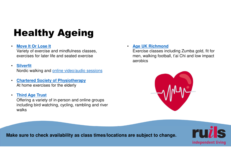# Healthy Ageing

#### •**Move It Or Lose It**

Variety of exercise and mindfulness classes, exercises for later life and seated exercise

#### •**Silverfit**

walks

Nordic walking and online video/audio sessions

- • **Chartered Society of Physiotherapy**At home exercises for the elderly
- • **Third Age Trust** Offering a variety of in-person and online groups including bird watching, cycling, rambling and river

• **Age UK Richmond**

 Exercise classes including Zumba gold, fit for men, walking football, t'ai Chi and low impact aerobics



**Make sure to check availability as class times/locations are subject to change.**

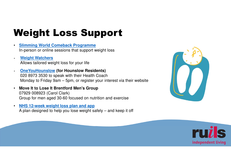# Weight Loss Support

- • **Slimming World Comeback Programme**In-person or online sessions that support weight loss
- • **Weight Watchers**Allows tailored weight loss for your life
- • **OneYouHounslow (for Hounslow Residents)**  020 8973 3530 to speak with their Health Coach Monday to Friday 9am – 5pm, or register your interest via their website
- • **Move It to Lose It Brentford Men's Group**  07929 008923 (Carol Clark) Group for men aged 30-60 focused on nutrition and exercise
- • **NHS 12-week weight loss plan and app**A plan designed to help you lose weight safely – and keep it off



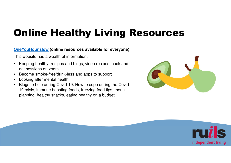# Online Healthy Living Resources

## **OneYouHounslow (online resources available for everyone)**

This website has a wealth of information:

- • Keeping healthy; recipes and blogs; video recipes; cook and eat sessions on zoom
- Become smoke-free/drink-less and apps to support •
- •Looking after mental health
- • Blogs to help during Covid-19: How to cope during the Covid-19 crisis, immune boosting foods, freezing food tips, menuplanning, healthy snacks, eating healthy on a budget



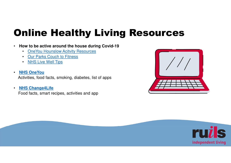# Online Healthy Living Resources

- • **How to be active around the house during Covid-19**
	- $\bullet$ **OneYou Hounslow Acitvity Resources**
	- Our Parks Couch to Fitness
	- <mark>NHS Live Well Tips</mark>
- • **NHS OneYou**Activities, food facts, smoking, diabetes, list of apps
- • **NHS Change4Life**Food facts, smart recipes, activities and app



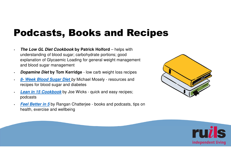# Podcasts, Books and Recipes

- • **The Low GL Diet Cookbook by Patrick Holford** – helps with understanding of blood sugar; carbohydrate portions; good explanation of Glycaemic Loading for general weight management and blood sugar management
- •**Dopamine Diet by Tom Kerridge** - low carb weight loss recipes
- • **8- Week Blood Sugar Diet** by Michael Mosely - resources and recipes for blood sugar and diabetes
- • **Lean in 15 Cookbook** by Joe Wicks - quick and easy recipes; podcasts
- • **Feel Better in 5** by Rangan Chatterjee - books and podcasts, tips on health, exercise and wellbeing



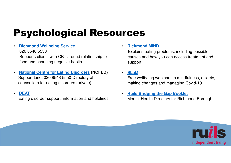# Psychological Resources

#### • **Richmond Wellbeing Service**020 8548 5550

 Supports clients with CBT around relationship tofood and changing negative habits

• **National Centre for Eating Disorders (NCFED)** Support Line: 020 8548 5550 Directory of counsellors for eating disorders (private)

#### •**BEAT**

Eating disorder support, information and helplines

•**Richmond MIND**

> Explains eating problems, including possible causes and how you can access treatment and support

• **SLaM**

 Free wellbeing webinars in mindfulness, anxiety, making changes and managing Covid-19

• **Ruils Bridging the Gap Booklet** Mental Health Directory for Richmond Borough

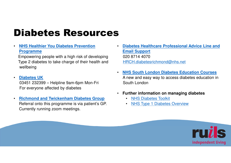# Diabetes Resources

•**NHS Healthier You Diabetes Prevention Programme** 

Empowering people with a high risk of developing Type 2 diabetes to take charge of their health andwellbeing

•**Diabetes UK**

> 03451 232399 – Helpline 9am-6pm Mon-Fri For everyone affected by diabetes

• **Richmond and Twickenham Diabetes Group**  Referral onto this programme is via patient's GP. Currently running zoom meetings.

- • **Diabetes Healthcare Professional Advice Line and Email Support** 020 8714 4070HRCH.diabetesrichmond@nhs.net
- • **NHS South London Diabetes Education Courses** A new and easy way to access diabetes education inSouth London
- **Further information on managing diabetes** 
	- •NHS Diabetes Toolkit
	- •NHS Type 1 Diabetes Overview